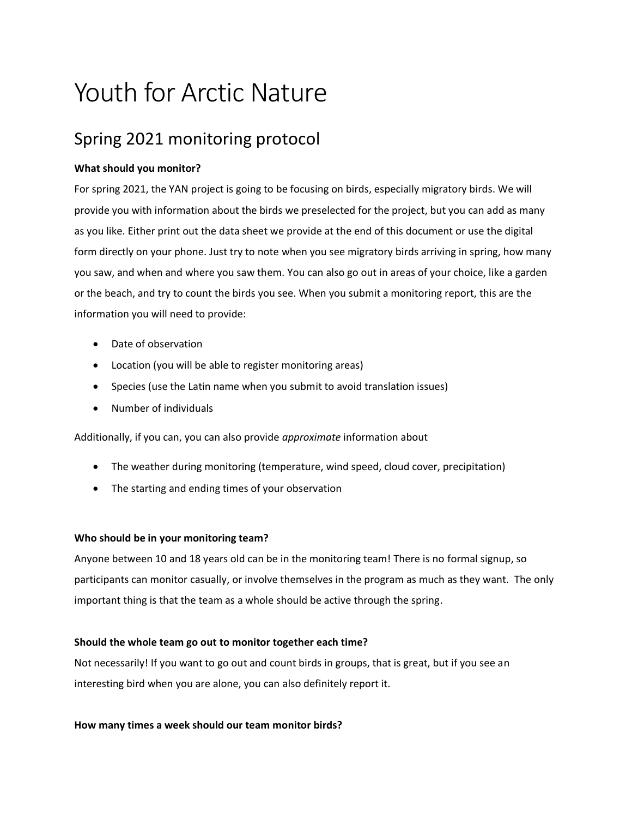# Youth for Arctic Nature

## Spring 2021 monitoring protocol

## **What should you monitor?**

For spring 2021, the YAN project is going to be focusing on birds, especially migratory birds. We will provide you with information about the birds we preselected for the project, but you can add as many as you like. Either print out the data sheet we provide at the end of this document or use the digital form directly on your phone. Just try to note when you see migratory birds arriving in spring, how many you saw, and when and where you saw them. You can also go out in areas of your choice, like a garden or the beach, and try to count the birds you see. When you submit a monitoring report, this are the information you will need to provide:

- Date of observation
- Location (you will be able to register monitoring areas)
- Species (use the Latin name when you submit to avoid translation issues)
- Number of individuals

Additionally, if you can, you can also provide *approximate* information about

- The weather during monitoring (temperature, wind speed, cloud cover, precipitation)
- The starting and ending times of your observation

## **Who should be in your monitoring team?**

Anyone between 10 and 18 years old can be in the monitoring team! There is no formal signup, so participants can monitor casually, or involve themselves in the program as much as they want. The only important thing is that the team as a whole should be active through the spring.

## **Should the whole team go out to monitor together each time?**

Not necessarily! If you want to go out and count birds in groups, that is great, but if you see an interesting bird when you are alone, you can also definitely report it.

## **How many times a week should our team monitor birds?**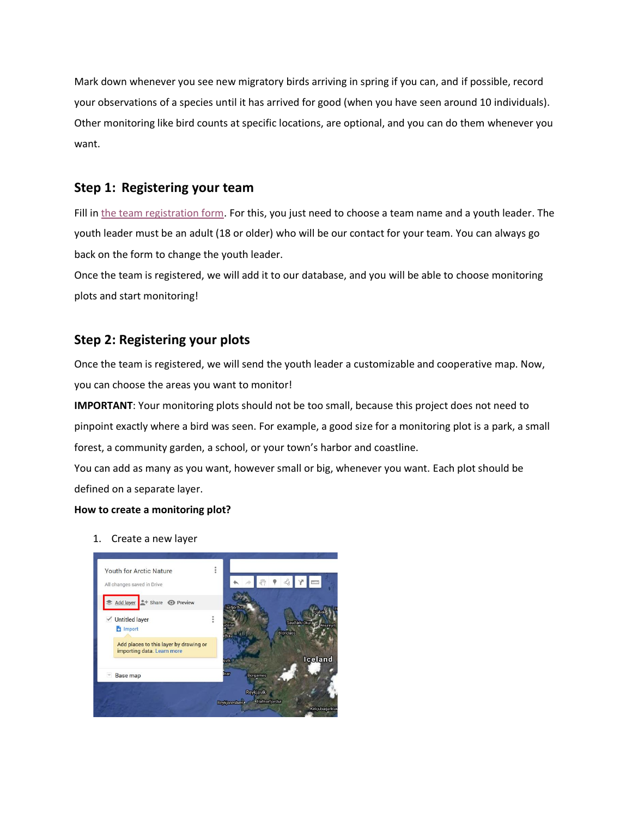Mark down whenever you see new migratory birds arriving in spring if you can, and if possible, record your observations of a species until it has arrived for good (when you have seen around 10 individuals). Other monitoring like bird counts at specific locations, are optional, and you can do them whenever you want.

## **Step 1: Registering your team**

Fill in [the team registration form.](https://form.jotform.com/210191798791062) For this, you just need to choose a team name and a youth leader. The youth leader must be an adult (18 or older) who will be our contact for your team. You can always go back on the form to change the youth leader.

Once the team is registered, we will add it to our database, and you will be able to choose monitoring plots and start monitoring!

## **Step 2: Registering your plots**

Once the team is registered, we will send the youth leader a customizable and cooperative map. Now, you can choose the areas you want to monitor!

**IMPORTANT**: Your monitoring plots should not be too small, because this project does not need to pinpoint exactly where a bird was seen. For example, a good size for a monitoring plot is a park, a small forest, a community garden, a school, or your town's harbor and coastline.

You can add as many as you want, however small or big, whenever you want. Each plot should be defined on a separate layer.

## **How to create a monitoring plot?**

1. Create a new layer

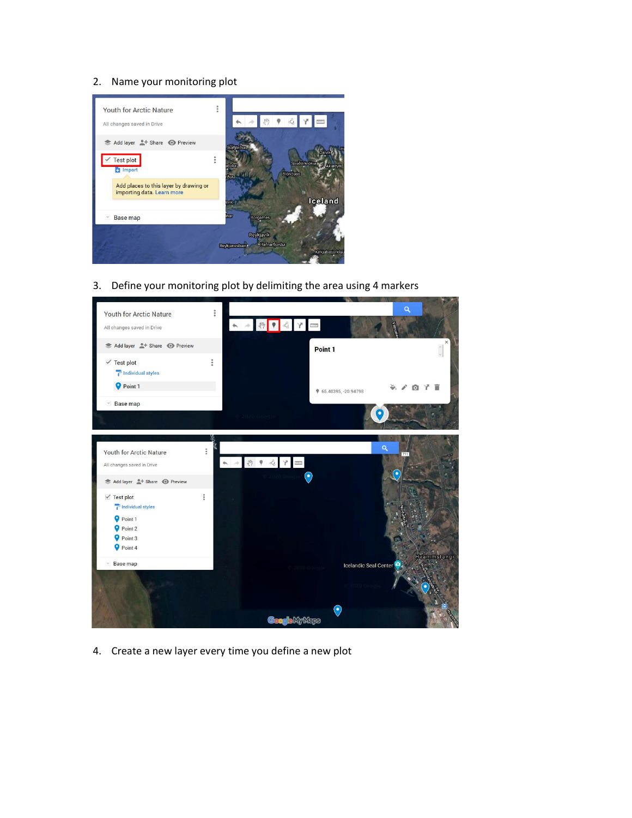#### 2. Name your monitoring plot



3. Define your monitoring plot by delimiting the area using 4 markers



4. Create a new layer every time you define a new plot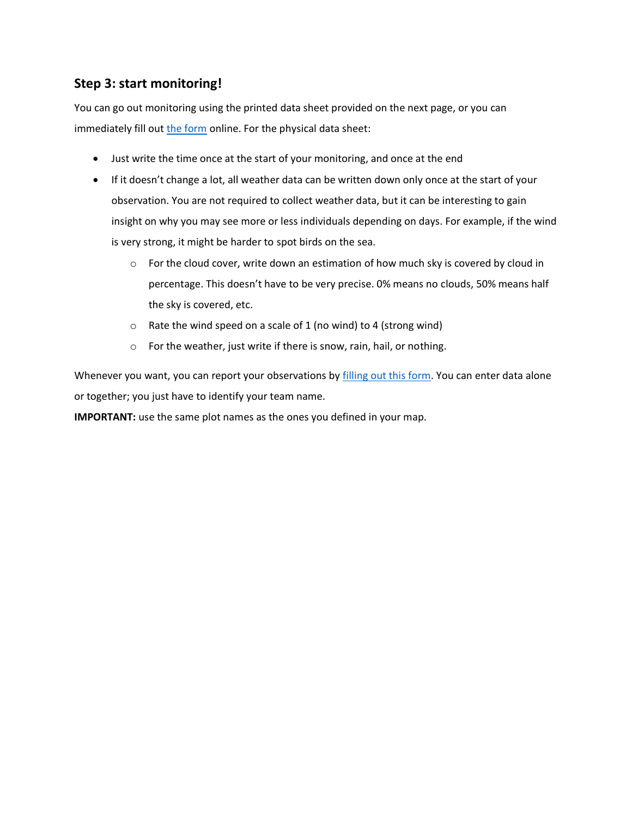## **Step 3: start monitoring!**

You can go out monitoring using the printed data sheet provided on the next page, or you can immediately fill out [the form](https://form.jotform.com/210183446647053) online. For the physical data sheet:

- Just write the time once at the start of your monitoring, and once at the end
- If it doesn't change a lot, all weather data can be written down only once at the start of your observation. You are not required to collect weather data, but it can be interesting to gain insight on why you may see more or less individuals depending on days. For example, if the wind is very strong, it might be harder to spot birds on the sea.
	- $\circ$  For the cloud cover, write down an estimation of how much sky is covered by cloud in percentage. This doesn't have to be very precise. 0% means no clouds, 50% means half the sky is covered, etc.
	- $\circ$  Rate the wind speed on a scale of 1 (no wind) to 4 (strong wind)
	- o For the weather, just write if there is snow, rain, hail, or nothing.

Whenever you want, you can report your observations by [filling out this form.](https://form.jotform.com/210183446647053) You can enter data alone or together; you just have to identify your team name.

**IMPORTANT:** use the same plot names as the ones you defined in your map.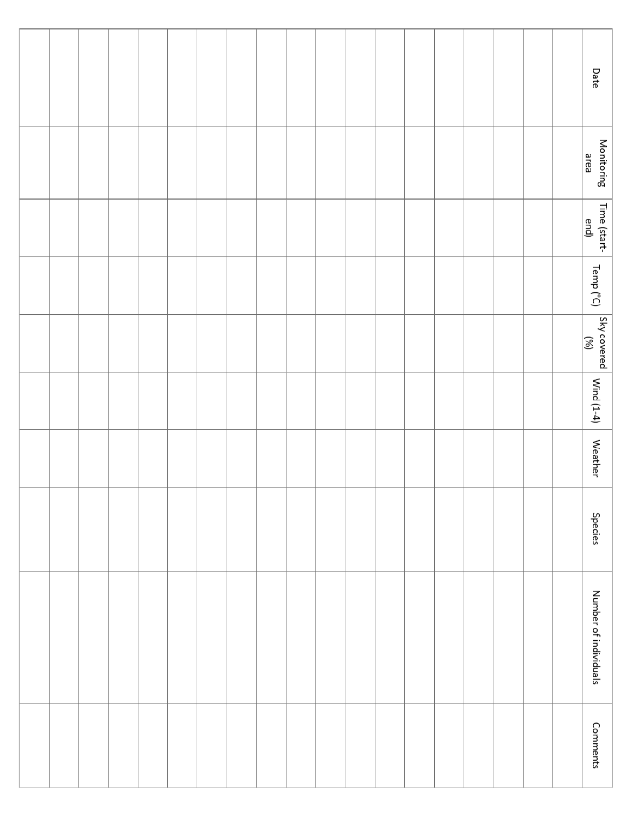|  |  |  |  |  |  |  |  |  | Date                                                                  |
|--|--|--|--|--|--|--|--|--|-----------------------------------------------------------------------|
|  |  |  |  |  |  |  |  |  | Monitoring<br>area                                                    |
|  |  |  |  |  |  |  |  |  | Time (start-<br>end)                                                  |
|  |  |  |  |  |  |  |  |  | Temp ( $^{\circ}$ C)                                                  |
|  |  |  |  |  |  |  |  |  | Sky covered<br>$\begin{bmatrix} 80 & 0 & 0 \ 0 & 0 & 0 \end{bmatrix}$ |
|  |  |  |  |  |  |  |  |  | Wind (1-4)                                                            |
|  |  |  |  |  |  |  |  |  | <b>Weather</b>                                                        |
|  |  |  |  |  |  |  |  |  | <b>Species</b>                                                        |
|  |  |  |  |  |  |  |  |  | Number of individuals                                                 |
|  |  |  |  |  |  |  |  |  | Comments                                                              |